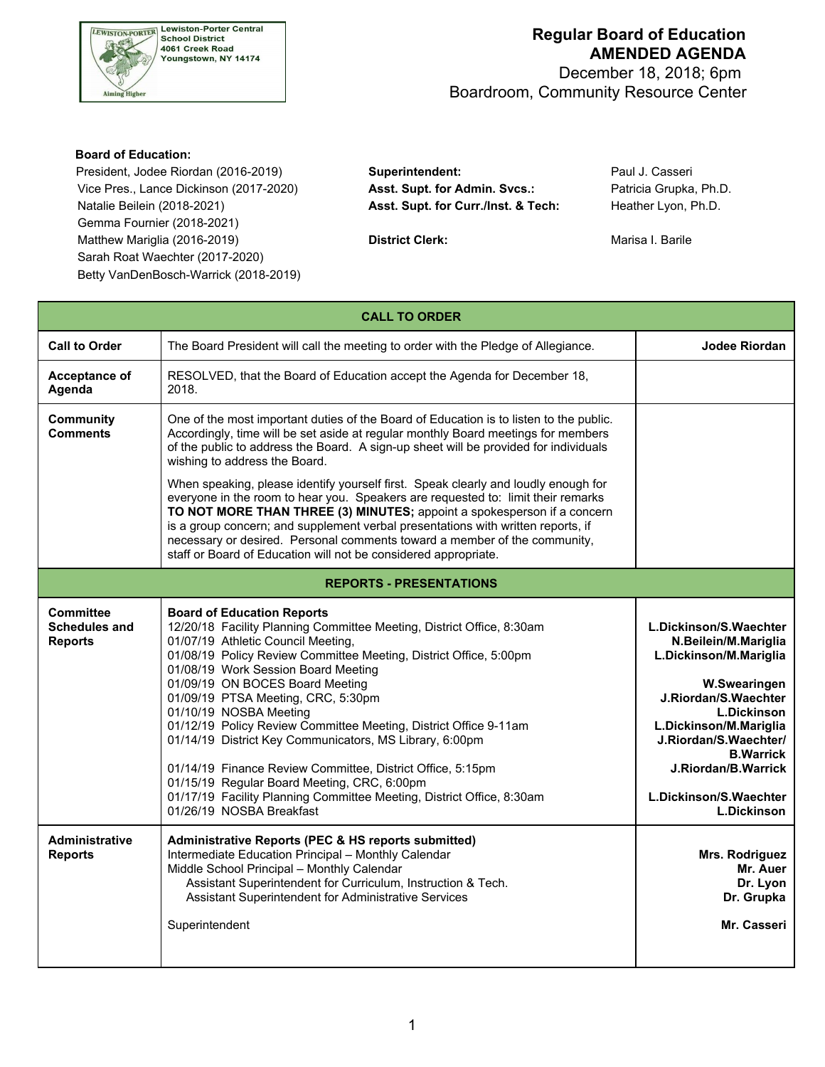

 December 18, 2018; 6pm Boardroom, Community Resource Center

#### **Board of Education:**

 President, Jodee Riordan (2016-2019) **Superintendent:** Paul J. Casseri Vice Pres., Lance Dickinson (2017-2020) **Asst. Supt. for Admin. Svcs.:** Patricia Grupka, Ph.D. Natalie Beilein (2018-2021) **Asst. Supt. for Curr./Inst. & Tech:** Heather Lyon, Ph.D. Gemma Fournier (2018-2021) Matthew Mariglia (2016-2019) **District Clerk: District Clerk:** Marisa I. Barile Sarah Roat Waechter (2017-2020) Betty VanDenBosch-Warrick (2018-2019)

| <b>CALL TO ORDER</b>                                |                                                                                                                                                                                                                                                                                                                                                                                                                                                                                                                                                                                                                                                                                                                                                                                               |                                                                                                                                                                                                                                                                                      |  |  |  |  |
|-----------------------------------------------------|-----------------------------------------------------------------------------------------------------------------------------------------------------------------------------------------------------------------------------------------------------------------------------------------------------------------------------------------------------------------------------------------------------------------------------------------------------------------------------------------------------------------------------------------------------------------------------------------------------------------------------------------------------------------------------------------------------------------------------------------------------------------------------------------------|--------------------------------------------------------------------------------------------------------------------------------------------------------------------------------------------------------------------------------------------------------------------------------------|--|--|--|--|
| <b>Call to Order</b>                                | The Board President will call the meeting to order with the Pledge of Allegiance.                                                                                                                                                                                                                                                                                                                                                                                                                                                                                                                                                                                                                                                                                                             | Jodee Riordan                                                                                                                                                                                                                                                                        |  |  |  |  |
| Acceptance of<br>Agenda                             | RESOLVED, that the Board of Education accept the Agenda for December 18,<br>2018.                                                                                                                                                                                                                                                                                                                                                                                                                                                                                                                                                                                                                                                                                                             |                                                                                                                                                                                                                                                                                      |  |  |  |  |
| <b>Community</b><br><b>Comments</b>                 | One of the most important duties of the Board of Education is to listen to the public.<br>Accordingly, time will be set aside at regular monthly Board meetings for members<br>of the public to address the Board. A sign-up sheet will be provided for individuals<br>wishing to address the Board.<br>When speaking, please identify yourself first. Speak clearly and loudly enough for<br>everyone in the room to hear you. Speakers are requested to: limit their remarks<br>TO NOT MORE THAN THREE (3) MINUTES; appoint a spokesperson if a concern<br>is a group concern; and supplement verbal presentations with written reports, if<br>necessary or desired. Personal comments toward a member of the community,<br>staff or Board of Education will not be considered appropriate. |                                                                                                                                                                                                                                                                                      |  |  |  |  |
|                                                     | <b>REPORTS - PRESENTATIONS</b>                                                                                                                                                                                                                                                                                                                                                                                                                                                                                                                                                                                                                                                                                                                                                                |                                                                                                                                                                                                                                                                                      |  |  |  |  |
| Committee<br><b>Schedules and</b><br><b>Reports</b> | <b>Board of Education Reports</b><br>12/20/18 Facility Planning Committee Meeting, District Office, 8:30am<br>01/07/19 Athletic Council Meeting,<br>01/08/19 Policy Review Committee Meeting, District Office, 5:00pm<br>01/08/19 Work Session Board Meeting<br>01/09/19 ON BOCES Board Meeting<br>01/09/19 PTSA Meeting, CRC, 5:30pm<br>01/10/19 NOSBA Meeting<br>01/12/19 Policy Review Committee Meeting, District Office 9-11am<br>01/14/19 District Key Communicators, MS Library, 6:00pm<br>01/14/19 Finance Review Committee, District Office, 5:15pm<br>01/15/19 Regular Board Meeting, CRC, 6:00pm<br>01/17/19 Facility Planning Committee Meeting, District Office, 8:30am<br>01/26/19 NOSBA Breakfast                                                                              | L.Dickinson/S.Waechter<br>N.Beilein/M.Mariglia<br>L.Dickinson/M.Mariglia<br>W.Swearingen<br>J.Riordan/S.Waechter<br><b>L.Dickinson</b><br>L.Dickinson/M.Mariglia<br>J.Riordan/S.Waechter/<br><b>B.Warrick</b><br>J.Riordan/B.Warrick<br>L.Dickinson/S.Waechter<br><b>L.Dickinson</b> |  |  |  |  |
| <b>Administrative</b><br><b>Reports</b>             | Administrative Reports (PEC & HS reports submitted)<br>Intermediate Education Principal - Monthly Calendar<br>Middle School Principal - Monthly Calendar<br>Assistant Superintendent for Curriculum, Instruction & Tech.<br>Assistant Superintendent for Administrative Services<br>Superintendent                                                                                                                                                                                                                                                                                                                                                                                                                                                                                            | Mrs. Rodriguez<br>Mr. Auer<br>Dr. Lyon<br>Dr. Grupka<br>Mr. Casseri                                                                                                                                                                                                                  |  |  |  |  |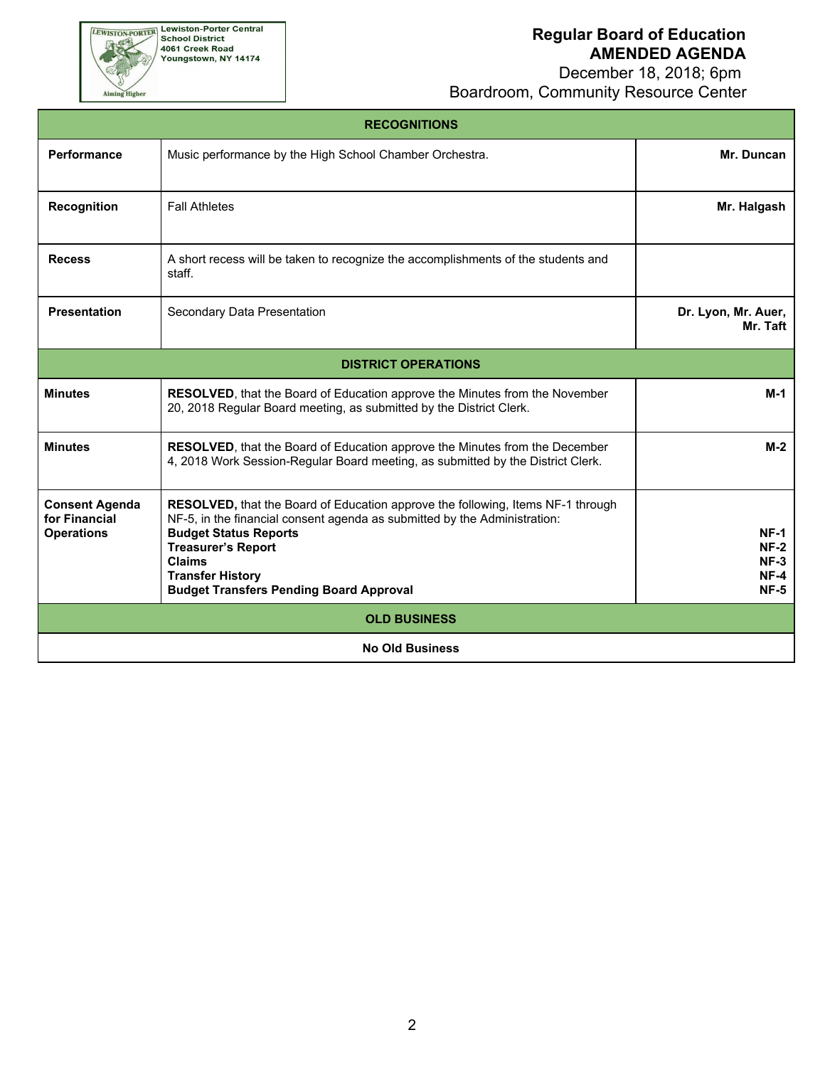December 18, 2018; 6pm Boardroom, Community Resource Center

| <b>RECOGNITIONS</b>                                         |                                                                                                                                                                                                                                                                                                                         |                                                |  |  |
|-------------------------------------------------------------|-------------------------------------------------------------------------------------------------------------------------------------------------------------------------------------------------------------------------------------------------------------------------------------------------------------------------|------------------------------------------------|--|--|
| Performance                                                 | Music performance by the High School Chamber Orchestra.                                                                                                                                                                                                                                                                 | Mr. Duncan                                     |  |  |
| Recognition                                                 | <b>Fall Athletes</b>                                                                                                                                                                                                                                                                                                    | Mr. Halgash                                    |  |  |
| <b>Recess</b>                                               | A short recess will be taken to recognize the accomplishments of the students and<br>staff.                                                                                                                                                                                                                             |                                                |  |  |
| <b>Presentation</b>                                         | Secondary Data Presentation                                                                                                                                                                                                                                                                                             | Dr. Lyon, Mr. Auer,<br>Mr. Taft                |  |  |
|                                                             | <b>DISTRICT OPERATIONS</b>                                                                                                                                                                                                                                                                                              |                                                |  |  |
| <b>Minutes</b>                                              | RESOLVED, that the Board of Education approve the Minutes from the November<br>20, 2018 Regular Board meeting, as submitted by the District Clerk.                                                                                                                                                                      | $M-1$                                          |  |  |
| <b>Minutes</b>                                              | <b>RESOLVED</b> , that the Board of Education approve the Minutes from the December<br>4, 2018 Work Session-Regular Board meeting, as submitted by the District Clerk.                                                                                                                                                  | $M-2$                                          |  |  |
| <b>Consent Agenda</b><br>for Financial<br><b>Operations</b> | RESOLVED, that the Board of Education approve the following, Items NF-1 through<br>NF-5, in the financial consent agenda as submitted by the Administration:<br><b>Budget Status Reports</b><br><b>Treasurer's Report</b><br><b>Claims</b><br><b>Transfer History</b><br><b>Budget Transfers Pending Board Approval</b> | $NF-1$<br>$NF-2$<br>$NF-3$<br>$NF-4$<br>$NF-5$ |  |  |
| <b>OLD BUSINESS</b>                                         |                                                                                                                                                                                                                                                                                                                         |                                                |  |  |
| <b>No Old Business</b>                                      |                                                                                                                                                                                                                                                                                                                         |                                                |  |  |

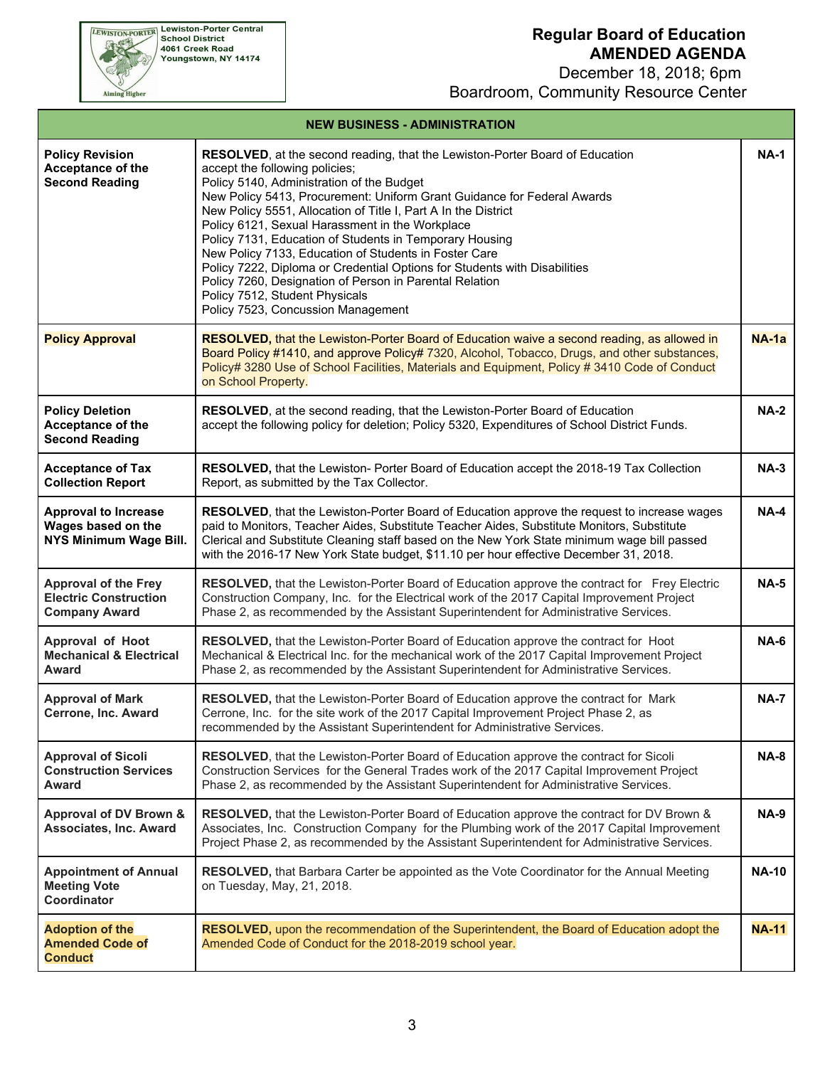December 18, 2018; 6pm Boardroom, Community Resource Center

**EWISTON-PORTER Lewiston-Porter Central**<br>School District<br>4061 Creek Road<br>Youngstown, NY 14174 Aiming Higher

#### **NEW BUSINESS - ADMINISTRATION**

| <b>Policy Revision</b><br>Acceptance of the<br><b>Second Reading</b>                | RESOLVED, at the second reading, that the Lewiston-Porter Board of Education<br>accept the following policies;<br>Policy 5140, Administration of the Budget<br>New Policy 5413, Procurement: Uniform Grant Guidance for Federal Awards<br>New Policy 5551, Allocation of Title I, Part A In the District<br>Policy 6121, Sexual Harassment in the Workplace<br>Policy 7131, Education of Students in Temporary Housing<br>New Policy 7133, Education of Students in Foster Care<br>Policy 7222, Diploma or Credential Options for Students with Disabilities<br>Policy 7260, Designation of Person in Parental Relation<br>Policy 7512, Student Physicals<br>Policy 7523, Concussion Management | <b>NA-1</b>  |
|-------------------------------------------------------------------------------------|-------------------------------------------------------------------------------------------------------------------------------------------------------------------------------------------------------------------------------------------------------------------------------------------------------------------------------------------------------------------------------------------------------------------------------------------------------------------------------------------------------------------------------------------------------------------------------------------------------------------------------------------------------------------------------------------------|--------------|
| <b>Policy Approval</b>                                                              | <b>RESOLVED, that the Lewiston-Porter Board of Education waive a second reading, as allowed in</b><br>Board Policy #1410, and approve Policy# 7320, Alcohol, Tobacco, Drugs, and other substances,<br>Policy# 3280 Use of School Facilities, Materials and Equipment, Policy # 3410 Code of Conduct<br>on School Property.                                                                                                                                                                                                                                                                                                                                                                      | $NA$ -1a     |
| <b>Policy Deletion</b><br>Acceptance of the<br><b>Second Reading</b>                | RESOLVED, at the second reading, that the Lewiston-Porter Board of Education<br>accept the following policy for deletion; Policy 5320, Expenditures of School District Funds.                                                                                                                                                                                                                                                                                                                                                                                                                                                                                                                   | <b>NA-2</b>  |
| <b>Acceptance of Tax</b><br><b>Collection Report</b>                                | RESOLVED, that the Lewiston- Porter Board of Education accept the 2018-19 Tax Collection<br>Report, as submitted by the Tax Collector.                                                                                                                                                                                                                                                                                                                                                                                                                                                                                                                                                          | <b>NA-3</b>  |
| <b>Approval to Increase</b><br>Wages based on the<br>NYS Minimum Wage Bill.         | <b>RESOLVED</b> , that the Lewiston-Porter Board of Education approve the request to increase wages<br>paid to Monitors, Teacher Aides, Substitute Teacher Aides, Substitute Monitors, Substitute<br>Clerical and Substitute Cleaning staff based on the New York State minimum wage bill passed<br>with the 2016-17 New York State budget, \$11.10 per hour effective December 31, 2018.                                                                                                                                                                                                                                                                                                       | <b>NA-4</b>  |
| <b>Approval of the Frey</b><br><b>Electric Construction</b><br><b>Company Award</b> | RESOLVED, that the Lewiston-Porter Board of Education approve the contract for Frey Electric<br>Construction Company, Inc. for the Electrical work of the 2017 Capital Improvement Project<br>Phase 2, as recommended by the Assistant Superintendent for Administrative Services.                                                                                                                                                                                                                                                                                                                                                                                                              | <b>NA-5</b>  |
| Approval of Hoot<br><b>Mechanical &amp; Electrical</b><br>Award                     | RESOLVED, that the Lewiston-Porter Board of Education approve the contract for Hoot<br>Mechanical & Electrical Inc. for the mechanical work of the 2017 Capital Improvement Project<br>Phase 2, as recommended by the Assistant Superintendent for Administrative Services.                                                                                                                                                                                                                                                                                                                                                                                                                     | <b>NA-6</b>  |
| <b>Approval of Mark</b><br>Cerrone, Inc. Award                                      | RESOLVED, that the Lewiston-Porter Board of Education approve the contract for Mark<br>Cerrone, Inc. for the site work of the 2017 Capital Improvement Project Phase 2, as<br>recommended by the Assistant Superintendent for Administrative Services.                                                                                                                                                                                                                                                                                                                                                                                                                                          | <b>NA-7</b>  |
| <b>Approval of Sicoli</b><br><b>Construction Services</b><br>Award                  | RESOLVED, that the Lewiston-Porter Board of Education approve the contract for Sicoli<br>Construction Services for the General Trades work of the 2017 Capital Improvement Project<br>Phase 2, as recommended by the Assistant Superintendent for Administrative Services.                                                                                                                                                                                                                                                                                                                                                                                                                      | <b>NA-8</b>  |
| Approval of DV Brown &<br><b>Associates, Inc. Award</b>                             | RESOLVED, that the Lewiston-Porter Board of Education approve the contract for DV Brown &<br>Associates, Inc. Construction Company for the Plumbing work of the 2017 Capital Improvement<br>Project Phase 2, as recommended by the Assistant Superintendent for Administrative Services.                                                                                                                                                                                                                                                                                                                                                                                                        | <b>NA-9</b>  |
| <b>Appointment of Annual</b><br><b>Meeting Vote</b><br>Coordinator                  | RESOLVED, that Barbara Carter be appointed as the Vote Coordinator for the Annual Meeting<br>on Tuesday, May, 21, 2018.                                                                                                                                                                                                                                                                                                                                                                                                                                                                                                                                                                         | <b>NA-10</b> |
| <b>Adoption of the</b><br><b>Amended Code of</b><br><b>Conduct</b>                  | <b>RESOLVED</b> , upon the recommendation of the Superintendent, the Board of Education adopt the<br>Amended Code of Conduct for the 2018-2019 school year.                                                                                                                                                                                                                                                                                                                                                                                                                                                                                                                                     | <b>NA-11</b> |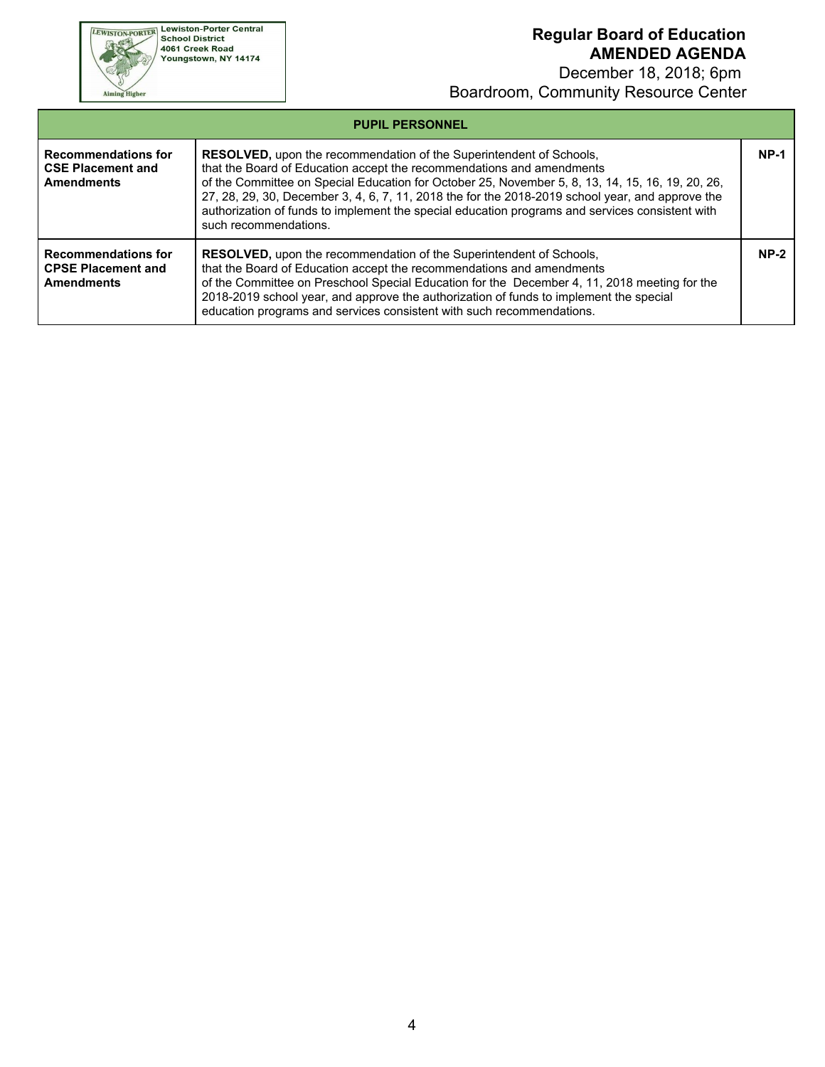**EWISTON-PORTER Lewiston-Porter Central**<br>School District<br>4061 Creek Road<br>Youngstown, NY 14174

Aiming Higher

### **Regular Board of Education AMENDED AGENDA**

 December 18, 2018; 6pm Boardroom, Community Resource Center

| <b>PUPIL PERSONNEL</b>                                                       |                                                                                                                                                                                                                                                                                                                                                                                                                                                                                          |        |  |  |
|------------------------------------------------------------------------------|------------------------------------------------------------------------------------------------------------------------------------------------------------------------------------------------------------------------------------------------------------------------------------------------------------------------------------------------------------------------------------------------------------------------------------------------------------------------------------------|--------|--|--|
| <b>Recommendations for</b><br><b>CSE Placement and</b><br><b>Amendments</b>  | <b>RESOLVED</b> , upon the recommendation of the Superintendent of Schools,<br>that the Board of Education accept the recommendations and amendments<br>of the Committee on Special Education for October 25, November 5, 8, 13, 14, 15, 16, 19, 20, 26,<br>27, 28, 29, 30, December 3, 4, 6, 7, 11, 2018 the for the 2018-2019 school year, and approve the<br>authorization of funds to implement the special education programs and services consistent with<br>such recommendations. | $NP-1$ |  |  |
| <b>Recommendations for</b><br><b>CPSE Placement and</b><br><b>Amendments</b> | <b>RESOLVED</b> , upon the recommendation of the Superintendent of Schools,<br>that the Board of Education accept the recommendations and amendments<br>of the Committee on Preschool Special Education for the December 4, 11, 2018 meeting for the<br>2018-2019 school year, and approve the authorization of funds to implement the special<br>education programs and services consistent with such recommendations.                                                                  | $NP-2$ |  |  |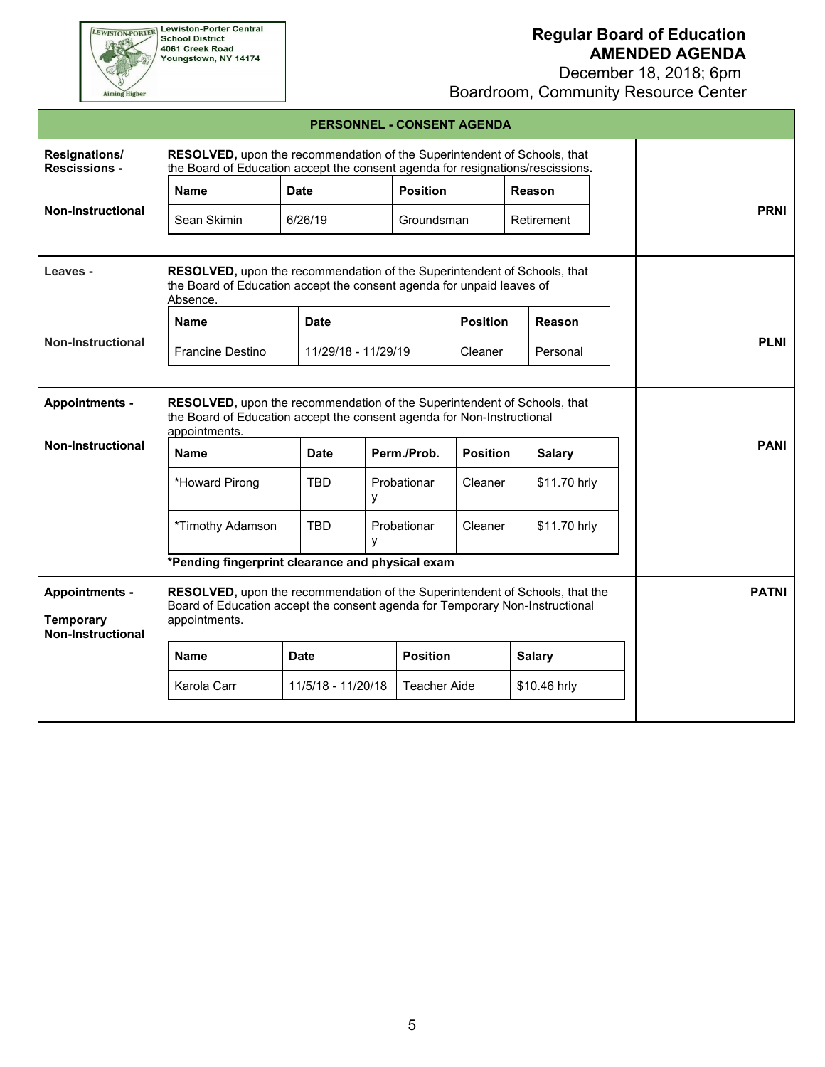**EWISTON-PORTER Lewiston-Porter Central**<br>School District<br>4061 Creek Road<br>Youngstown, NY 14174

Aiming Higher

# **Regular Board of Education AMENDED AGENDA**

 December 18, 2018; 6pm Boardroom, Community Resource Center

| PERSONNEL - CONSENT AGENDA                                            |                                                                                                                                                                                                      |                     |                 |                     |                 |               |  |             |  |
|-----------------------------------------------------------------------|------------------------------------------------------------------------------------------------------------------------------------------------------------------------------------------------------|---------------------|-----------------|---------------------|-----------------|---------------|--|-------------|--|
| <b>Resignations/</b><br><b>Rescissions -</b>                          | RESOLVED, upon the recommendation of the Superintendent of Schools, that<br>the Board of Education accept the consent agenda for resignations/rescissions.                                           |                     |                 |                     |                 |               |  |             |  |
|                                                                       | <b>Name</b>                                                                                                                                                                                          | <b>Date</b>         | <b>Position</b> |                     |                 | Reason        |  |             |  |
| <b>Non-Instructional</b>                                              | Sean Skimin                                                                                                                                                                                          | 6/26/19             |                 | Groundsman          |                 | Retirement    |  | <b>PRNI</b> |  |
|                                                                       |                                                                                                                                                                                                      |                     |                 |                     |                 |               |  |             |  |
| Leaves -                                                              | RESOLVED, upon the recommendation of the Superintendent of Schools, that<br>the Board of Education accept the consent agenda for unpaid leaves of<br>Absence.                                        |                     |                 |                     |                 |               |  |             |  |
|                                                                       | <b>Name</b>                                                                                                                                                                                          | <b>Date</b>         |                 |                     | <b>Position</b> | Reason        |  |             |  |
| <b>Non-Instructional</b>                                              | Francine Destino                                                                                                                                                                                     | 11/29/18 - 11/29/19 |                 |                     | Cleaner         | Personal      |  | <b>PLNI</b> |  |
|                                                                       |                                                                                                                                                                                                      |                     |                 |                     |                 |               |  |             |  |
| <b>Appointments -</b>                                                 | RESOLVED, upon the recommendation of the Superintendent of Schools, that<br>the Board of Education accept the consent agenda for Non-Instructional<br>appointments.                                  |                     |                 |                     |                 |               |  |             |  |
| <b>Non-Instructional</b>                                              | <b>Name</b>                                                                                                                                                                                          | <b>Date</b>         |                 | Perm./Prob.         | <b>Position</b> | <b>Salary</b> |  | <b>PANI</b> |  |
|                                                                       | *Howard Pirong                                                                                                                                                                                       | <b>TBD</b>          | У               | Probationar         | Cleaner         | \$11.70 hrly  |  |             |  |
|                                                                       | *Timothy Adamson                                                                                                                                                                                     | <b>TBD</b>          | V               | Probationar         | Cleaner         | \$11.70 hrly  |  |             |  |
|                                                                       | *Pending fingerprint clearance and physical exam                                                                                                                                                     |                     |                 |                     |                 |               |  |             |  |
| <b>Appointments -</b><br><b>Temporary</b><br><b>Non-Instructional</b> | <b>PATNI</b><br><b>RESOLVED, upon the recommendation of the Superintendent of Schools, that the</b><br>Board of Education accept the consent agenda for Temporary Non-Instructional<br>appointments. |                     |                 |                     |                 |               |  |             |  |
|                                                                       | <b>Name</b>                                                                                                                                                                                          | <b>Date</b>         |                 | <b>Position</b>     |                 | <b>Salary</b> |  |             |  |
|                                                                       | Karola Carr                                                                                                                                                                                          | 11/5/18 - 11/20/18  |                 | <b>Teacher Aide</b> |                 | \$10.46 hrly  |  |             |  |
|                                                                       |                                                                                                                                                                                                      |                     |                 |                     |                 |               |  |             |  |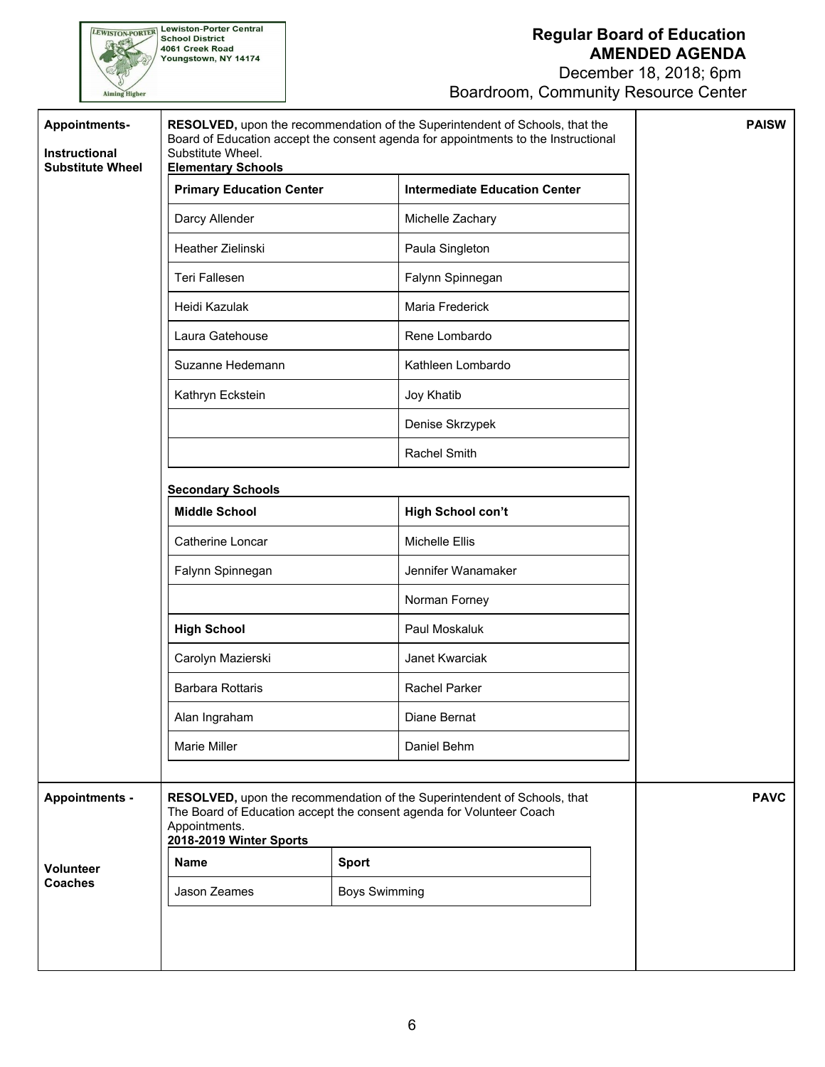December 18, 2018; 6pm Boardroom, Community Resource Center

| <b>Appointments-</b><br>Instructional<br><b>Substitute Wheel</b> | RESOLVED, upon the recommendation of the Superintendent of Schools, that the<br>Board of Education accept the consent agenda for appointments to the Instructional<br>Substitute Wheel.<br><b>Elementary Schools</b> | <b>PAISW</b> |                                      |  |
|------------------------------------------------------------------|----------------------------------------------------------------------------------------------------------------------------------------------------------------------------------------------------------------------|--------------|--------------------------------------|--|
|                                                                  | <b>Primary Education Center</b>                                                                                                                                                                                      |              | <b>Intermediate Education Center</b> |  |
|                                                                  | Darcy Allender                                                                                                                                                                                                       |              | Michelle Zachary                     |  |
|                                                                  | Heather Zielinski                                                                                                                                                                                                    |              | Paula Singleton                      |  |
|                                                                  | Teri Fallesen                                                                                                                                                                                                        |              | Falynn Spinnegan                     |  |
|                                                                  | Heidi Kazulak                                                                                                                                                                                                        |              | Maria Frederick                      |  |
|                                                                  | Laura Gatehouse                                                                                                                                                                                                      |              | Rene Lombardo                        |  |
|                                                                  | Suzanne Hedemann                                                                                                                                                                                                     |              | Kathleen Lombardo                    |  |
|                                                                  | Kathryn Eckstein                                                                                                                                                                                                     |              | Joy Khatib                           |  |
|                                                                  |                                                                                                                                                                                                                      |              | Denise Skrzypek                      |  |
|                                                                  |                                                                                                                                                                                                                      |              | Rachel Smith                         |  |
|                                                                  | <b>Secondary Schools</b>                                                                                                                                                                                             |              |                                      |  |
|                                                                  | <b>Middle School</b>                                                                                                                                                                                                 |              | High School con't                    |  |
|                                                                  | Catherine Loncar                                                                                                                                                                                                     |              | Michelle Ellis                       |  |
|                                                                  | Falynn Spinnegan                                                                                                                                                                                                     |              | Jennifer Wanamaker                   |  |
|                                                                  | <b>High School</b>                                                                                                                                                                                                   |              | Norman Forney                        |  |
|                                                                  |                                                                                                                                                                                                                      |              | Paul Moskaluk                        |  |
|                                                                  | Carolyn Mazierski                                                                                                                                                                                                    |              | Janet Kwarciak                       |  |
|                                                                  | <b>Barbara Rottaris</b>                                                                                                                                                                                              |              | Rachel Parker                        |  |
|                                                                  | Alan Ingraham                                                                                                                                                                                                        |              | Diane Bernat                         |  |
|                                                                  | Marie Miller                                                                                                                                                                                                         |              | Daniel Behm                          |  |
|                                                                  |                                                                                                                                                                                                                      |              |                                      |  |
| <b>Appointments -</b>                                            | RESOLVED, upon the recommendation of the Superintendent of Schools, that<br>The Board of Education accept the consent agenda for Volunteer Coach<br>Appointments.<br>2018-2019 Winter Sports                         | <b>PAVC</b>  |                                      |  |
| <b>Volunteer</b><br><b>Coaches</b>                               | <b>Name</b>                                                                                                                                                                                                          | <b>Sport</b> |                                      |  |
|                                                                  | Jason Zeames<br><b>Boys Swimming</b>                                                                                                                                                                                 |              |                                      |  |
|                                                                  |                                                                                                                                                                                                                      |              |                                      |  |
|                                                                  |                                                                                                                                                                                                                      |              |                                      |  |

**EWISTON-PORTER Lewiston-Porter Central**<br>School District<br>4061 Creek Road<br>Youngstown, NY 14174

Aiming Higher